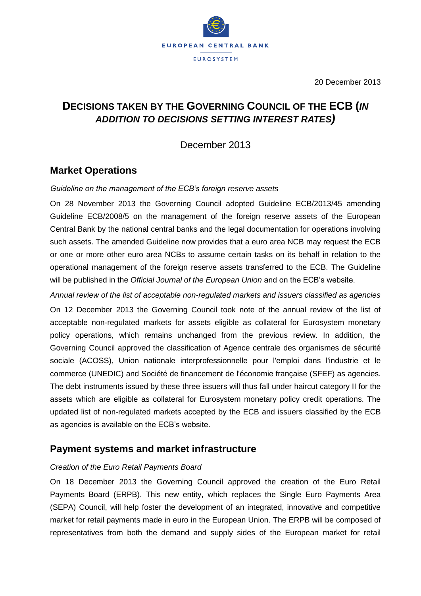

20 December 2013

# **DECISIONS TAKEN BY THE GOVERNING COUNCIL OF THE ECB (***IN ADDITION TO DECISIONS SETTING INTEREST RATES)*

December 2013

### **Market Operations**

### *Guideline on the management of the ECB's foreign reserve assets*

On 28 November 2013 the Governing Council adopted Guideline ECB/2013/45 amending Guideline ECB/2008/5 on the management of the foreign reserve assets of the European Central Bank by the national central banks and the legal documentation for operations involving such assets. The amended Guideline now provides that a euro area NCB may request the ECB or one or more other euro area NCBs to assume certain tasks on its behalf in relation to the operational management of the foreign reserve assets transferred to the ECB. The Guideline will be published in the *Official Journal of the European Union* and on the ECB's website.

*Annual review of the list of acceptable non-regulated markets and issuers classified as agencies* On 12 December 2013 the Governing Council took note of the annual review of the list of acceptable non-regulated markets for assets eligible as collateral for Eurosystem monetary policy operations, which remains unchanged from the previous review. In addition, the Governing Council approved the classification of Agence centrale des organismes de sécurité sociale (ACOSS), Union nationale interprofessionnelle pour l'emploi dans l'industrie et le commerce (UNEDIC) and Société de financement de l'économie française (SFEF) as agencies. The debt instruments issued by these three issuers will thus fall under haircut category II for the assets which are eligible as collateral for Eurosystem monetary policy credit operations. The updated list of non-regulated markets accepted by the ECB and issuers classified by the ECB as agencies is available on the ECB's website.

### **Payment systems and market infrastructure**

### *Creation of the Euro Retail Payments Board*

On 18 December 2013 the Governing Council approved the creation of the Euro Retail Payments Board (ERPB). This new entity, which replaces the Single Euro Payments Area (SEPA) Council, will help foster the development of an integrated, innovative and competitive market for retail payments made in euro in the European Union. The ERPB will be composed of representatives from both the demand and supply sides of the European market for retail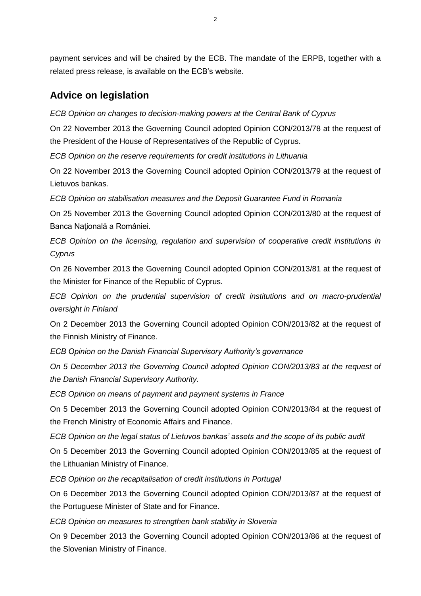# **Advice on legislation**

*ECB Opinion on changes to decision-making powers at the Central Bank of Cyprus*

On 22 November 2013 the Governing Council adopted Opinion CON/2013/78 at the request of the President of the House of Representatives of the Republic of Cyprus.

*ECB Opinion on the reserve requirements for credit institutions in Lithuania*

On 22 November 2013 the Governing Council adopted Opinion CON/2013/79 at the request of Lietuvos bankas.

*ECB Opinion on stabilisation measures and the Deposit Guarantee Fund in Romania*

On 25 November 2013 the Governing Council adopted Opinion CON/2013/80 at the request of Banca Naţională a României.

*ECB Opinion on the licensing, regulation and supervision of cooperative credit institutions in Cyprus*

On 26 November 2013 the Governing Council adopted Opinion CON/2013/81 at the request of the Minister for Finance of the Republic of Cyprus.

*ECB Opinion on the prudential supervision of credit institutions and on macro-prudential oversight in Finland*

On 2 December 2013 the Governing Council adopted Opinion CON/2013/82 at the request of the Finnish Ministry of Finance.

*ECB Opinion on the Danish Financial Supervisory Authority's governance*

*On 5 December 2013 the Governing Council adopted Opinion CON/2013/83 at the request of the Danish Financial Supervisory Authority.*

*ECB Opinion on means of payment and payment systems in France*

On 5 December 2013 the Governing Council adopted Opinion CON/2013/84 at the request of the French Ministry of Economic Affairs and Finance.

*ECB Opinion on the legal status of Lietuvos bankas' assets and the scope of its public audit*

On 5 December 2013 the Governing Council adopted Opinion CON/2013/85 at the request of the Lithuanian Ministry of Finance.

*ECB Opinion on the recapitalisation of credit institutions in Portugal* 

On 6 December 2013 the Governing Council adopted Opinion CON/2013/87 at the request of the Portuguese Minister of State and for Finance.

*ECB Opinion on measures to strengthen bank stability in Slovenia*

On 9 December 2013 the Governing Council adopted Opinion CON/2013/86 at the request of the Slovenian Ministry of Finance.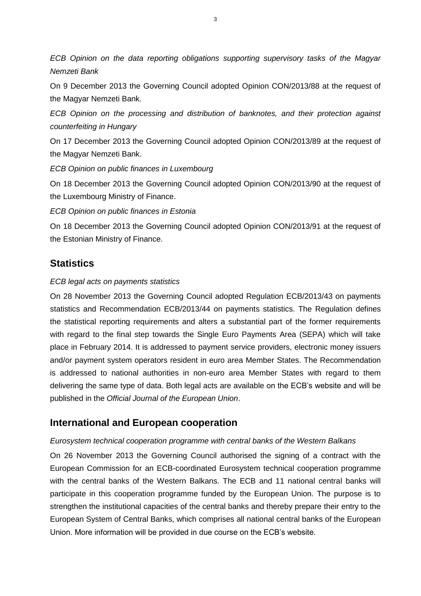*ECB Opinion on the data reporting obligations supporting supervisory tasks of the Magyar Nemzeti Bank*

On 9 December 2013 the Governing Council adopted Opinion CON/2013/88 at the request of the Magyar Nemzeti Bank.

*ECB Opinion on the processing and distribution of banknotes, and their protection against counterfeiting in Hungary*

On 17 December 2013 the Governing Council adopted Opinion CON/2013/89 at the request of the Magyar Nemzeti Bank.

*ECB Opinion on public finances in Luxembourg*

On 18 December 2013 the Governing Council adopted Opinion CON/2013/90 at the request of the Luxembourg Ministry of Finance.

*ECB Opinion on public finances in Estonia*

On 18 December 2013 the Governing Council adopted Opinion CON/2013/91 at the request of the Estonian Ministry of Finance.

## **Statistics**

### *ECB legal acts on payments statistics*

On 28 November 2013 the Governing Council adopted Regulation ECB/2013/43 on payments statistics and Recommendation ECB/2013/44 on payments statistics. The Regulation defines the statistical reporting requirements and alters a substantial part of the former requirements with regard to the final step towards the Single Euro Payments Area (SEPA) which will take place in February 2014. It is addressed to payment service providers, electronic money issuers and/or payment system operators resident in euro area Member States. The Recommendation is addressed to national authorities in non-euro area Member States with regard to them delivering the same type of data. Both legal acts are available on the ECB's website and will be published in the *Official Journal of the European Union*.

### **International and European cooperation**

### *Eurosystem technical cooperation programme with central banks of the Western Balkans*

On 26 November 2013 the Governing Council authorised the signing of a contract with the European Commission for an ECB-coordinated Eurosystem technical cooperation programme with the central banks of the Western Balkans. The ECB and 11 national central banks will participate in this cooperation programme funded by the European Union. The purpose is to strengthen the institutional capacities of the central banks and thereby prepare their entry to the European System of Central Banks, which comprises all national central banks of the European Union. More information will be provided in due course on the ECB's website.